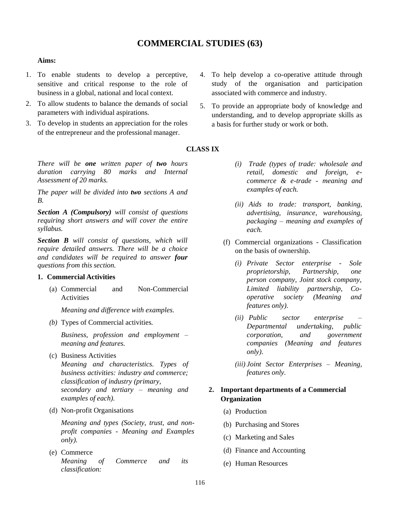# **COMMERCIAL STUDIES (63)**

#### **Aims:**

- 1. To enable students to develop a perceptive, sensitive and critical response to the role of business in a global, national and local context.
- 2. To allow students to balance the demands of social parameters with individual aspirations.
- 3. To develop in students an appreciation for the roles of the entrepreneur and the professional manager.

*There will be one written paper of two hours duration carrying 80 marks and Internal Assessment of 20 marks.*

*The paper will be divided into two sections A and B.*

*Section A (Compulsory) will consist of questions requiring short answers and will cover the entire syllabus.*

*Section B will consist of questions, which will require detailed answers. There will be a choice and candidates will be required to answer four questions from this section.*

#### **1. Commercial Activities**

(a) Commercial and Non-Commercial Activities

*Meaning and difference with examples.*

*(b)* Types of Commercial activities*.*

*Business, profession and employment – meaning and features.*

- (c) Business Activities *Meaning and characteristics. Types of business activities: industry and commerce; classification of industry (primary, secondary and tertiary – meaning and examples of each).*
- (d) Non-profit Organisations

*Meaning and types (Society, trust, and nonprofit companies - Meaning and Examples only).*

(e) Commerce *Meaning of Commerce and its classification:*

- 4. To help develop a co-operative attitude through study of the organisation and participation associated with commerce and industry.
- 5. To provide an appropriate body of knowledge and understanding, and to develop appropriate skills as a basis for further study or work or both.

## **CLASS IX**

- *(i) Trade (types of trade: wholesale and retail, domestic and foreign, ecommerce & e-trade - meaning and examples of each.*
- *(ii) Aids to trade: transport, banking, advertising, insurance, warehousing, packaging – meaning and examples of each.*
- (f) Commercial organizations Classification on the basis of ownership.
	- *(i) Private Sector enterprise - Sole proprietorship, Partnership, one person company, Joint stock company, Limited liability partnership, Cooperative society (Meaning and features only).*
	- *(ii) Public sector enterprise – Departmental undertaking, public corporation, and government companies (Meaning and features only).*
	- *(iii) Joint Sector Enterprises – Meaning, features only.*

## **2. Important departments of a Commercial Organization**

- (a) Production
- (b) Purchasing and Stores
- (c) Marketing and Sales
- (d) Finance and Accounting
- (e) Human Resources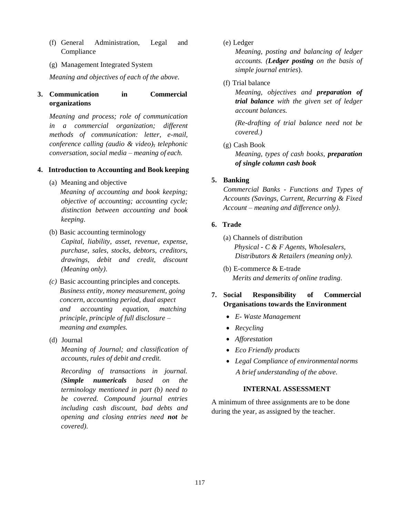- (f) General Administration, Legal and Compliance
- (g) Management Integrated System

*Meaning and objectives of each of the above.*

## **3. Communication in Commercial organizations**

*Meaning and process; role of communication in a commercial organization; different methods of communication: letter, e-mail, conference calling (audio & video), telephonic conversation, social media – meaning of each.*

## **4. Introduction to Accounting and Book keeping**

- (a) Meaning and objective *Meaning of accounting and book keeping; objective of accounting; accounting cycle; distinction between accounting and book keeping*.
- (b) Basic accounting terminology *Capital, liability, asset, revenue, expense, purchase, sales, stocks, debtors, creditors, drawings, debit and credit, discount (Meaning only)*.
- *(c)* Basic accounting principles and concepts*. Business entity, money measurement, going concern, accounting period, dual aspect and accounting equation, matching principle, principle of full disclosure – meaning and examples.*
- (d) Journal

*Meaning of Journal; and classification of accounts, rules of debit and credit.*

*Recording of transactions in journal. (Simple numericals based on the terminology mentioned in part (b) need to be covered. Compound journal entries including cash discount, bad debts and opening and closing entries need not be covered).*

(e) Ledger

*Meaning, posting and balancing of ledger accounts. (Ledger posting on the basis of simple journal entries*).

## (f) Trial balance

*Meaning, objectives and preparation of trial balance with the given set of ledger account balances.*

*(Re-drafting of trial balance need not be covered.)*

(g) Cash Book

*Meaning, types of cash books, preparation of single column cash book*

## **5. Banking**

*Commercial Banks - Functions and Types of Accounts (Savings, Current, Recurring & Fixed Account – meaning and difference only).*

## **6. Trade**

- (a) Channels of distribution *Physical - C & F Agents, Wholesalers, Distributors & Retailers (meaning only).*
- (b) E-commerce & E-trade *Merits and demerits of online trading*.

## **7. Social Responsibility of Commercial Organisations towards the Environment**

- *E- Waste Management*
- *Recycling*
- *Afforestation*
- *Eco Friendly products*
- *Legal Compliance of environmental norms A brief understanding of the above.*

## **INTERNAL ASSESSMENT**

A minimum of three assignments are to be done during the year, as assigned by the teacher.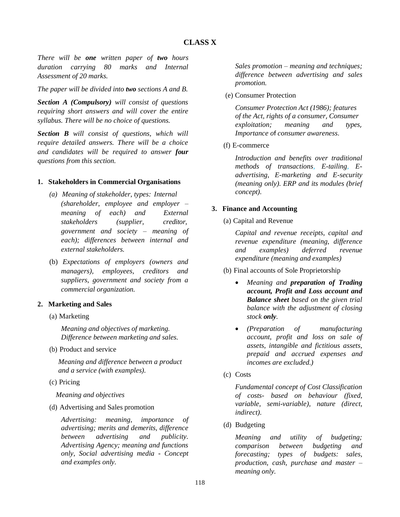*There will be one written paper of two hours duration carrying 80 marks and Internal Assessment of 20 marks.*

*The paper will be divided into two sections A and B.*

*Section A (Compulsory) will consist of questions requiring short answers and will cover the entire syllabus. There will be no choice of questions.*

*Section B will consist of questions, which will require detailed answers. There will be a choice and candidates will be required to answer four questions from this section.*

## **1. Stakeholders in Commercial Organisations**

- *(a) Meaning of stakeholder, types: Internal (shareholder, employee and employer – meaning of each) and External stakeholders (supplier, creditor, government and society – meaning of each); differences between internal and external stakeholders.*
- (b) *Expectations of employers (owners and managers), employees, creditors and suppliers, government and society from a commercial organization.*

#### **2. Marketing and Sales**

(a) Marketing

*Meaning and objectives of marketing. Difference between marketing and sales.*

(b) Product and service

*Meaning and difference between a product and a service (with examples).*

(c) Pricing

*Meaning and objectives*

(d) Advertising and Sales promotion

*Advertising: meaning, importance of advertising; merits and demerits, difference between advertising and publicity. Advertising Agency; meaning and functions only, Social advertising media - Concept and examples only.*

*Sales promotion – meaning and techniques; difference between advertising and sales promotion.*

(e) Consumer Protection

*Consumer Protection Act (1986); features of the Act, rights of a consumer*, *Consumer exploitation; meaning and types*, *Importance o*f *consumer awareness*.

(f) E-commerce

*Introduction and benefits over traditional methods of transactions, E-tailing, Eadvertising, E-marketing and E-security (meaning only). ERP and its modules (brief concept).*

## **3. Finance and Accounting**

(a) Capital and Revenue

*Capital and revenue receipts, capital and revenue expenditure (meaning, difference and examples) deferred revenue expenditure (meaning and examples)*

- (b) Final accounts of Sole Proprietorship
	- *Meaning and preparation of Trading account, Profit and Loss account and Balance sheet based on the given trial balance with the adjustment of closing stock only.*
	- *(Preparation of manufacturing account*, *profit and loss on sale of assets, intangible and fictitious assets, prepaid and accrued expenses and incomes are excluded.)*
- (c) Costs

*Fundamental concept of Cost Classification of costs- based on behaviour (fixed, variable, semi-variable), nature (direct, indirect).*

(d) Budgeting

*Meaning and utility of budgeting; comparison between budgeting and forecasting; types of budgets: sales, production, cash, purchase and master – meaning only.*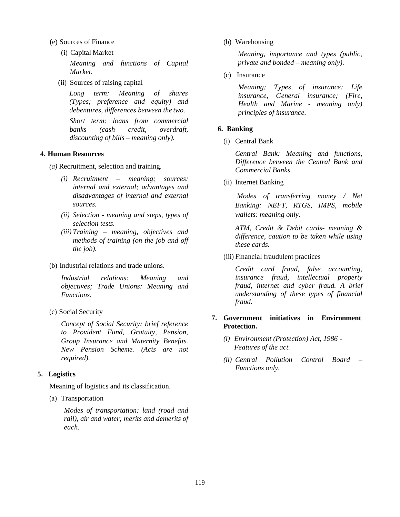(e) Sources of Finance

(i) Capital Market

*Meaning and functions of Capital Market.*

(ii) Sources of raising capital

*Long term: Meaning of shares (Types; preference and equity) and debentures, differences between the two.*

*Short term: loans from commercial banks (cash credit, overdraft, discounting of bills – meaning only).*

#### **4. Human Resources**

- *(a)* Recruitment, selection and training*.*
	- *(i) Recruitment – meaning; sources: internal and external; advantages and disadvantages of internal and external sources.*
	- *(ii) Selection - meaning and steps, types of selection tests.*
	- *(iii) Training – meaning, objectives and methods of training (on the job and off the job).*
- (b) Industrial relations and trade unions.

*Industrial relations: Meaning and objectives; Trade Unions: Meaning and Functions.*

(c) Social Security

*Concept of Social Security; brief reference to Provident Fund, Gratuity, Pension, Group Insurance and Maternity Benefits. New Pension Scheme. (Acts are not required).*

#### **5. Logistics**

Meaning of logistics and its classification.

(a) Transportation

*Modes of transportation: land (road and rail), air and water; merits and demerits of each.*

(b) Warehousing

*Meaning, importance and types (public, private and bonded – meaning only).*

(c) Insurance

*Meaning; Types of insurance: Life insurance, General insurance; (Fire, Health and Marine - meaning only) principles of insurance.*

#### **6. Banking**

(i) Central Bank

*Central Bank: Meaning and functions, Difference between the Central Bank and Commercial Banks.*

(ii) Internet Banking

*Modes of transferring money / Net Banking: NEFT, RTGS, IMPS, mobile wallets: meaning only.*

*ATM, Credit & Debit cards- meaning & difference, caution to be taken while using these cards.*

(iii) Financial fraudulent practices

*Credit card fraud, false accounting, insurance fraud, intellectual property fraud, internet and cyber fraud. A brief understanding of these types of financial fraud.*

## **7. Government initiatives in Environment Protection.**

- *(i) Environment (Protection) Act, 1986 - Features of the act.*
- *(ii) Central Pollution Control Board – Functions only.*